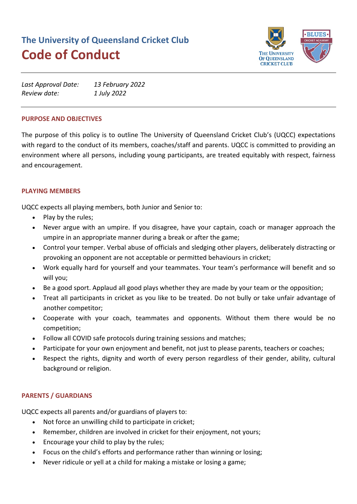# **The University of Queensland Cricket Club Code of Conduct**



| Last Approval Date: | 13 February 2022 |
|---------------------|------------------|
| Review date:        | 1 July 2022      |

#### **PURPOSE AND OBJECTIVES**

The purpose of this policy is to outline The University of Queensland Cricket Club's (UQCC) expectations with regard to the conduct of its members, coaches/staff and parents. UQCC is committed to providing an environment where all persons, including young participants, are treated equitably with respect, fairness and encouragement.

### **PLAYING MEMBERS**

UQCC expects all playing members, both Junior and Senior to:

- Play by the rules;
- Never argue with an umpire. If you disagree, have your captain, coach or manager approach the umpire in an appropriate manner during a break or after the game;
- Control your temper. Verbal abuse of officials and sledging other players, deliberately distracting or provoking an opponent are not acceptable or permitted behaviours in cricket;
- Work equally hard for yourself and your teammates. Your team's performance will benefit and so will you;
- Be a good sport. Applaud all good plays whether they are made by your team or the opposition;
- Treat all participants in cricket as you like to be treated. Do not bully or take unfair advantage of another competitor;
- Cooperate with your coach, teammates and opponents. Without them there would be no competition;
- Follow all COVID safe protocols during training sessions and matches;
- Participate for your own enjoyment and benefit, not just to please parents, teachers or coaches;
- Respect the rights, dignity and worth of every person regardless of their gender, ability, cultural background or religion.

#### **PARENTS / GUARDIANS**

UQCC expects all parents and/or guardians of players to:

- Not force an unwilling child to participate in cricket;
- Remember, children are involved in cricket for their enjoyment, not yours;
- Encourage your child to play by the rules;
- Focus on the child's efforts and performance rather than winning or losing;
- Never ridicule or yell at a child for making a mistake or losing a game;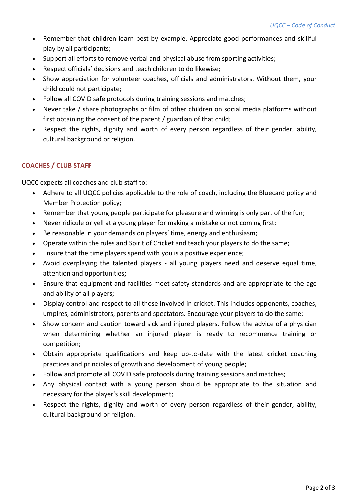- Remember that children learn best by example. Appreciate good performances and skillful play by all participants;
- Support all efforts to remove verbal and physical abuse from sporting activities;
- Respect officials' decisions and teach children to do likewise;
- Show appreciation for volunteer coaches, officials and administrators. Without them, your child could not participate;
- Follow all COVID safe protocols during training sessions and matches;
- Never take / share photographs or film of other children on social media platforms without first obtaining the consent of the parent / guardian of that child;
- Respect the rights, dignity and worth of every person regardless of their gender, ability, cultural background or religion.

## **COACHES / CLUB STAFF**

UQCC expects all coaches and club staff to:

- Adhere to all UQCC policies applicable to the role of coach, including the Bluecard policy and Member Protection policy;
- Remember that young people participate for pleasure and winning is only part of the fun;
- Never ridicule or yell at a young player for making a mistake or not coming first;
- Be reasonable in your demands on players' time, energy and enthusiasm;
- Operate within the rules and Spirit of Cricket and teach your players to do the same;
- Ensure that the time players spend with you is a positive experience;
- Avoid overplaying the talented players all young players need and deserve equal time, attention and opportunities;
- Ensure that equipment and facilities meet safety standards and are appropriate to the age and ability of all players;
- Display control and respect to all those involved in cricket. This includes opponents, coaches, umpires, administrators, parents and spectators. Encourage your players to do the same;
- Show concern and caution toward sick and injured players. Follow the advice of a physician when determining whether an injured player is ready to recommence training or competition;
- Obtain appropriate qualifications and keep up-to-date with the latest cricket coaching practices and principles of growth and development of young people;
- Follow and promote all COVID safe protocols during training sessions and matches;
- Any physical contact with a young person should be appropriate to the situation and necessary for the player's skill development;
- Respect the rights, dignity and worth of every person regardless of their gender, ability, cultural background or religion.